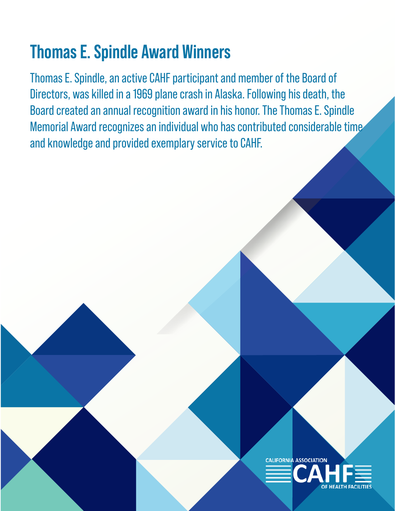# **Thomas E. Spindle Award Winners**

Thomas E. Spindle, an active CAHF participant and member of the Board of Directors, was killed in a 1969 plane crash in Alaska. Following his death, the Board created an annual recognition award in his honor. The Thomas E. Spindle Memorial Award recognizes an individual who has contributed considerable time and knowledge and provided exemplary service to CAHF.

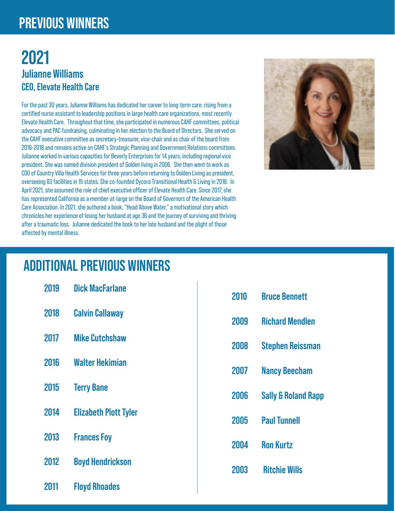### **PREVIOUS WINNERS**

#### **2021 Julianne Williams CEO, Elevate Health Care**

For the past 30 years, Julianne Williams has dedicated her career to long-term care; rising from a certified nurse assistant to leadership positions in large health care organizations, most recently Elevate Health Care. Throughout that time, she participated in numerous CAHF committees, political advocacy and PAC fundraising, culminating in her election to the Board of Directors. She served on the CAHF executive committee as secretary-treasurer, vice-chair and as chair of the board from 2016-2018 and remains active on CAHF's Strategic Planning and Government Relations committees. Julianne worked in various capacities for Beverly Enterprises for 14 years, including regional vice president. She was named division president of Golden living in 2006. She then went to work as COO of Country Villa Health Services for three years before returning to Golden Living as president, overseeing 83 facilities in 15 states. She co-founded Dycora Transitional Health & Living in 2016. In April 2021, she assumed the role of chief executive officer of Elevate Health Care. Since 2017, she has represented California as a member-at-large on the Board of Governors of the American Health Care Association. In 2021, she authored a book, "Head Above Water," a motivational story which chronicles her experience of losing her husband at age 36 and the journey of surviving and thriving after a traumatic loss. Julianne dedicated the book to her late husband and the plight of those affected by mental illness.



## **ADDITIONAL PREVIOUS WINNERS**

| 2019 | <b>Dick MacFarlane</b>       |
|------|------------------------------|
| 2018 | <b>Calvin Callaway</b>       |
| 2017 | <b>Mike Cutchshaw</b>        |
| 2016 | Walter Hekimian              |
| 2015 | <b>Terry Bane</b>            |
| 2014 | <b>Elizabeth Plott Tyler</b> |
| 2013 | <b>Frances Foy</b>           |
| 2012 | <b>Boyd Hendrickson</b>      |
| 2011 | <b>Floyd Rhoades</b>         |

| 2010 | <b>Bruce Bennett</b>           |
|------|--------------------------------|
| 2009 | <b>Richard Mendlen</b>         |
| 2008 | <b>Stephen Reissman</b>        |
| 2007 | <b>Nancy Beecham</b>           |
| 2006 | <b>Sally &amp; Roland Rapp</b> |
| 2005 | <b>Paul Tunnell</b>            |
| 2004 | <b>Ron Kurtz</b>               |
| 2003 | <b>Ritchie Wills</b>           |